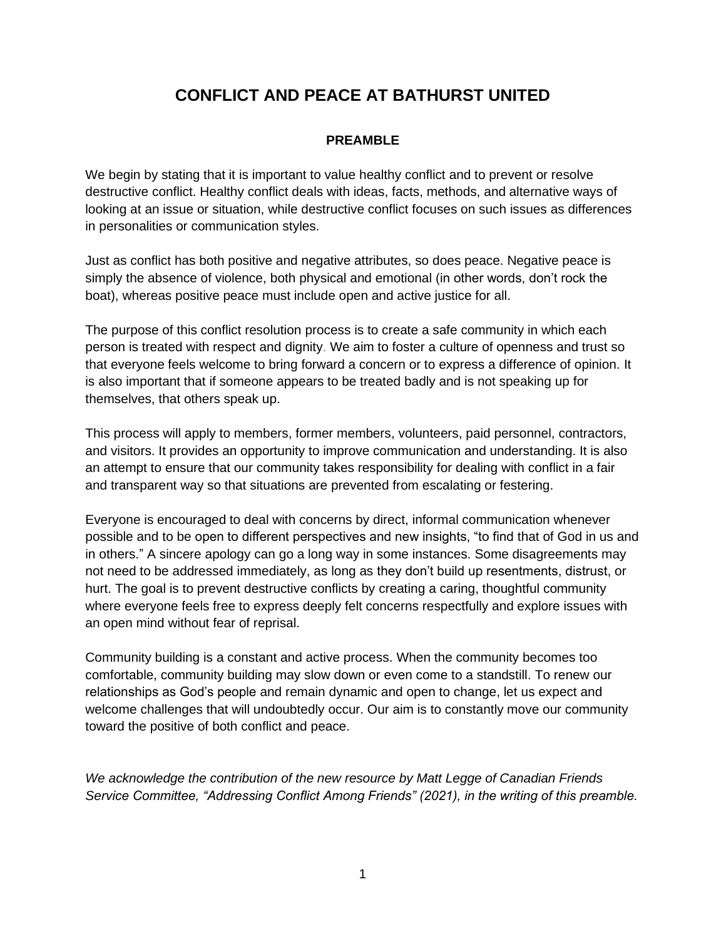# **CONFLICT AND PEACE AT BATHURST UNITED**

#### **PREAMBLE**

We begin by stating that it is important to value healthy conflict and to prevent or resolve destructive conflict. Healthy conflict deals with ideas, facts, methods, and alternative ways of looking at an issue or situation, while destructive conflict focuses on such issues as differences in personalities or communication styles.

Just as conflict has both positive and negative attributes, so does peace. Negative peace is simply the absence of violence, both physical and emotional (in other words, don't rock the boat), whereas positive peace must include open and active justice for all.

The purpose of this conflict resolution process is to create a safe community in which each person is treated with respect and dignity. We aim to foster a culture of openness and trust so that everyone feels welcome to bring forward a concern or to express a difference of opinion. It is also important that if someone appears to be treated badly and is not speaking up for themselves, that others speak up.

This process will apply to members, former members, volunteers, paid personnel, contractors, and visitors. It provides an opportunity to improve communication and understanding. It is also an attempt to ensure that our community takes responsibility for dealing with conflict in a fair and transparent way so that situations are prevented from escalating or festering.

Everyone is encouraged to deal with concerns by direct, informal communication whenever possible and to be open to different perspectives and new insights, "to find that of God in us and in others." A sincere apology can go a long way in some instances. Some disagreements may not need to be addressed immediately, as long as they don't build up resentments, distrust, or hurt. The goal is to prevent destructive conflicts by creating a caring, thoughtful community where everyone feels free to express deeply felt concerns respectfully and explore issues with an open mind without fear of reprisal.

Community building is a constant and active process. When the community becomes too comfortable, community building may slow down or even come to a standstill. To renew our relationships as God's people and remain dynamic and open to change, let us expect and welcome challenges that will undoubtedly occur. Our aim is to constantly move our community toward the positive of both conflict and peace.

*We acknowledge the contribution of the new resource by Matt Legge of Canadian Friends Service Committee, "Addressing Conflict Among Friends" (2021), in the writing of this preamble.*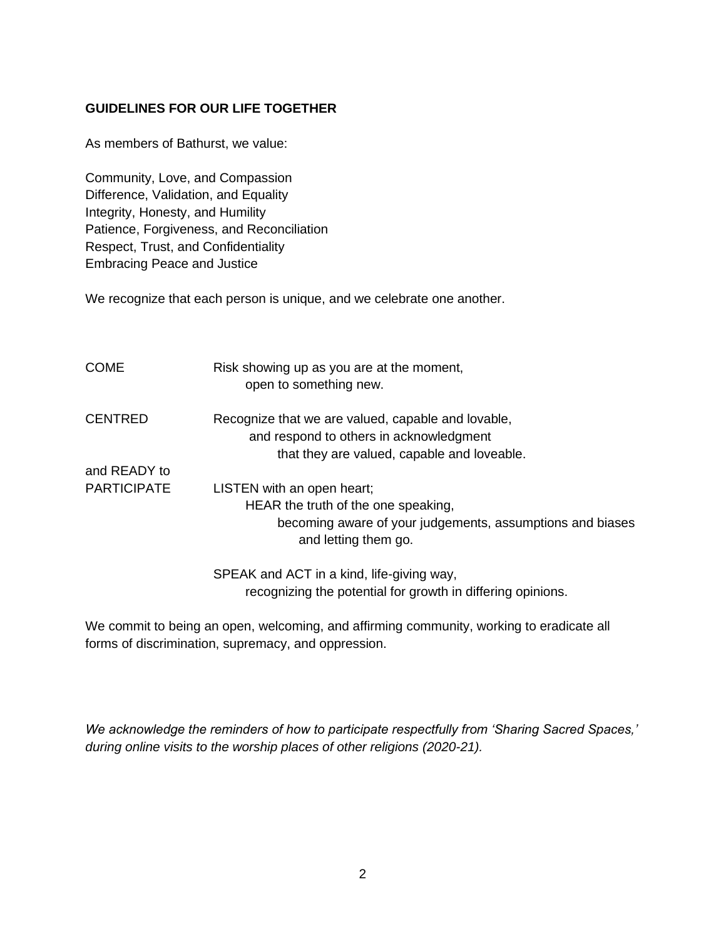#### **GUIDELINES FOR OUR LIFE TOGETHER**

As members of Bathurst, we value:

Community, Love, and Compassion Difference, Validation, and Equality Integrity, Honesty, and Humility Patience, Forgiveness, and Reconciliation Respect, Trust, and Confidentiality Embracing Peace and Justice

We recognize that each person is unique, and we celebrate one another.

| <b>COME</b>        | Risk showing up as you are at the moment,<br>open to something new.                           |
|--------------------|-----------------------------------------------------------------------------------------------|
| <b>CENTRED</b>     | Recognize that we are valued, capable and lovable,<br>and respond to others in acknowledgment |
|                    | that they are valued, capable and loveable.                                                   |
| and READY to       |                                                                                               |
| <b>PARTICIPATE</b> | LISTEN with an open heart;                                                                    |
|                    | HEAR the truth of the one speaking,                                                           |
|                    | becoming aware of your judgements, assumptions and biases<br>and letting them go.             |
|                    |                                                                                               |

SPEAK and ACT in a kind, life-giving way, recognizing the potential for growth in differing opinions.

We commit to being an open, welcoming, and affirming community, working to eradicate all forms of discrimination, supremacy, and oppression.

*We acknowledge the reminders of how to participate respectfully from 'Sharing Sacred Spaces,' during online visits to the worship places of other religions (2020-21).*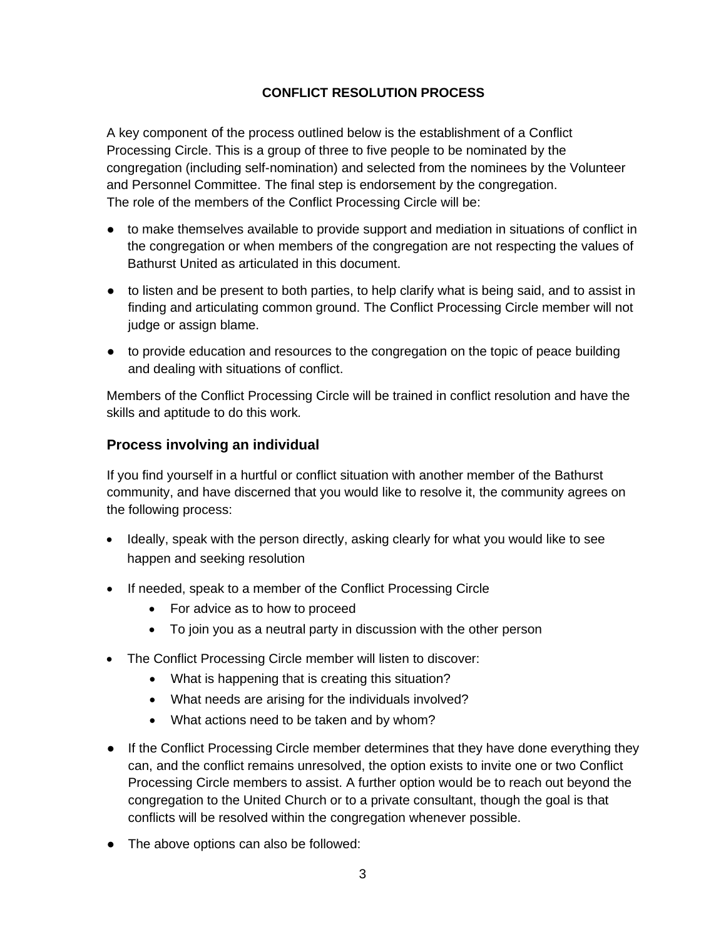## **CONFLICT RESOLUTION PROCESS**

A key component of the process outlined below is the establishment of a Conflict Processing Circle. This is a group of three to five people to be nominated by the congregation (including self-nomination) and selected from the nominees by the Volunteer and Personnel Committee. The final step is endorsement by the congregation. The role of the members of the Conflict Processing Circle will be:

- to make themselves available to provide support and mediation in situations of conflict in the congregation or when members of the congregation are not respecting the values of Bathurst United as articulated in this document.
- to listen and be present to both parties, to help clarify what is being said, and to assist in finding and articulating common ground. The Conflict Processing Circle member will not judge or assign blame.
- to provide education and resources to the congregation on the topic of peace building and dealing with situations of conflict.

Members of the Conflict Processing Circle will be trained in conflict resolution and have the skills and aptitude to do this work*.*

# **Process involving an individual**

If you find yourself in a hurtful or conflict situation with another member of the Bathurst community, and have discerned that you would like to resolve it, the community agrees on the following process:

- Ideally, speak with the person directly, asking clearly for what you would like to see happen and seeking resolution
- If needed, speak to a member of the Conflict Processing Circle
	- For advice as to how to proceed
	- To join you as a neutral party in discussion with the other person
- The Conflict Processing Circle member will listen to discover:
	- What is happening that is creating this situation?
	- What needs are arising for the individuals involved?
	- What actions need to be taken and by whom?
- If the Conflict Processing Circle member determines that they have done everything they can, and the conflict remains unresolved, the option exists to invite one or two Conflict Processing Circle members to assist. A further option would be to reach out beyond the congregation to the United Church or to a private consultant, though the goal is that conflicts will be resolved within the congregation whenever possible.
- The above options can also be followed: